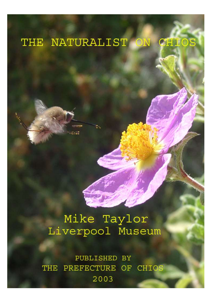### THE NATURALIST ON **CHIOS**

# Mike Taylor Liverpool Museum

PUBLISHED BY PREFECTURE OF CHIOS **THE** 2003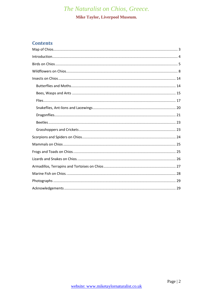### **Mike Taylor, Liverpool Museum.**

### **Contents**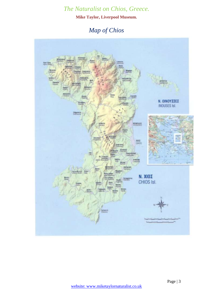**Mike Taylor, Liverpool Museum.**

# *Map of Chios*

<span id="page-2-0"></span>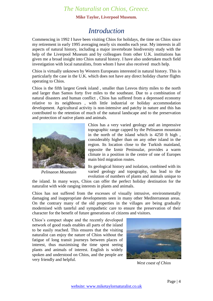#### **Mike Taylor, Liverpool Museum.**

# *Introduction*

<span id="page-3-0"></span>Commencing in 1992 I have been visiting Chios for holidays, the time on Chios since my retirement in early 1995 averaging nearly six months each year. My interests in all aspects of natural history, including a major invertebrate biodiversity study with the help of the Liverpool Museum and by colleagues from other U.K. institutions has given me a broad insight into Chios natural history. I have also undertaken much field investigation with local naturalists, from whom I have also received much help.

Chios is virtually unknown by Western Europeans interested in natural history. This is particularly the case in the U.K. which does not have any direct holiday charter flights operating to Chios.

Chios is the fifth largest Greek island , smaller than Lesvos thirty miles to the north and larger than Samos forty five miles to the southeast. Due to a combination of natural disasters and human conflict , Chios has suffered from a depressed economy relative to its neighbours , with little industrial or holiday accommodation development. Agricultural activity is non-intensive and patchy in nature and this has contributed to the retention of much of the natural landscape and to the preservation and protection of native plants and animals.



*Pelinaeon Mountain*

Chios has a very varied geology and an impressive topographic range capped by the Pelinaeon mountain in the north of the island which is 4250 ft high , considerably higher than on any other island in the region. Its location close to the Turkish mainland, opposite the Izmir Peninsular, provides a warm climate in a position in the centre of one of Europes main bird migration routes.

Its geological history and isolation, combined with its varied geology and topography, has lead to the evolution of numbers of plants and animals unique to

the island. In many ways, Chios can offer the perfect holiday destination for the naturalist with wide ranging interests in plants and animals.

Chios has not suffered from the excesses of visually intrusive, environmentally damaging and inappropriate developments seen in many other Mediterranean areas. On the contrary many of the old properties in the villages are being gradually modernised with tasteful and sympathetic care to ensure the preservation of their character for the benefit of future generations of citizens and visitors.

Chios's compact shape and the recently developed network of good roads enables all parts of the island to be easily reached. This ensures that the visiting naturalist can enjoy the nature of Chios without the fatigue of long transit journeys between places of interest, thus maximising the time spent seeing plants and animals of interest. English is widely spoken and understood on Chios, and the people are very friendly and helpful.



*West coast of Chios*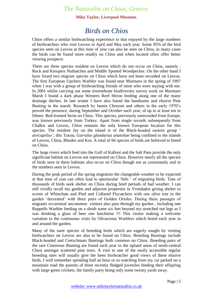#### **Mike Taylor, Liverpool Museum.**

# *Birds on Chios*

<span id="page-4-0"></span>Chios offers a similar birdwatching experience to that enjoyed by the large numbers of birdwatchers who visit Lesvos in April and May each year. Some 95% of the bird species seen on Lesvos at this time of year can also be seen on Chios, in many cases the birds can be found more readily on Chios and when located often offer better viewing prospects

There are three species resident on Lesvos which do not occur on Chios, namely , Rock and Kreupers Nuthatches and Middle Spotted Woodpecker. On the other hand I have found two migrant species on Chios which have not been recorded on Lesvos. The first European Upchers Warbler was found near Marmaro in the spring of 1997 when I was with a group of birdwatching friends of mine who were staying with me. In 2001 whilst carrying out some invertebrate biodiversity survey work on Marmaro Marsh I found a dark phase Western Reef Heron feeding along one of the many drainage ditches. In late winter I have also found the handsome and elusive Pine Bunting in the marsh. Research by Iannis Choremi and others in the early 1970's proved the presence, during September and October each year, of up to at least ten to fifteen Red-fronted Serin on Chios. This species, previously unrecorded from Europe, was known previously from Turkey. Apart from single records subsequently from Chalkis and Lesvos, Chios remains the only known European location for this species. The resident Jay on the island is of the Black-headed eastern group ' *atricapillus'*, this Taxon, *Garrulus glandarius anatoliae* being confined to the islands of Lesvos, Chios, Rhodes and Kos. A total of 66 species of birds are believed to breed on Chios.

The large rivers which feed into the Gulf of Kalloni and the Salt Pans provide the only significant habitat on Lesvos not represented on Chios. However nearly all the species of birds seen in these habitats also occur on Chios though not as consistantly and in the numbers seen in Lesvos.

During the peak period of the spring migration the changeable weather to be expected at that time of year can often lead to spectacular 'falls ' of migrating birds. Tens of thousands of birds seek shelter on Chios during brief periods of bad weather. I can still vividly recall my garden and adjacent properties in Vrondados giving shelter to scores of Whinchats and Pied and Collared Flycatchers with one olive tree in the garden 'decorated' with three pairs of Golden Orioles. During these passages of migrants occasional uncommon visitors also pass through my garden , including one Ruppells Warbler feeding on a shrub some six feet beyond my stretched out legs as I was drinking a glass of beer one lunchtime !!! This visitor making a welcome variation to the continuous visits by Olivaceous Warblers which breed each year in and around the garden.

Many of the rarer species of breeding birds which are eagerly sought by visiting birdwatchers on Lesvos are also to be found on Chios. Breeding Buntings include Black-headed and Cretzchmars Buntings both common on Chios. Breeding pairs of the rare Cinereous Bunting are found each year in the upland areas of north-central Chios amongst scattered pine trees. A visit to one of the easily accessible regular breeding sites will usually give the keen birdwatcher good views of these elusive birds. I well remember spending half an hour or so watching from my car parked on a mountain road the parents of three recently fledged juveniles feeding their offspring with large green crickets, the family party being only some twenty yards away.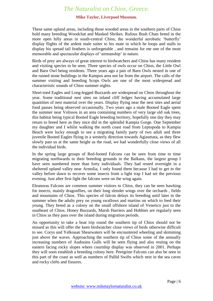#### **Mike Taylor, Liverpool Museum.**

These same upland areas, including those wooded areas in the southern parts of Chios hold many breeding Woodchat and Masked Shrikes. Rufous Bush Chats breed in the more open hilly areas in south-central Chios, the wonderful aerobatic 'butterfly' display flights of the ardent male suiter to his mate in which he loops and stalls to display his spread tail feathers is unforgetable , and remains for me one of the most memorable and spectacular displays of 'airmanship' in nature.

Birds of prey are always of great interest to birdwatchers and Chios has many resident and visiting species to be seen. Three species of owls occur on Chios, the Little Owl and Barn Owl being residents. Three years ago a pair of Barn Owls nested in one of the ruined stone buildings in the Kampos area not far from the airport. The calls of the summer visiting and breeding Scops Owls are one of the most widespread and characteristic sounds of Chios summer nights.

Short-toed Eagles and Long-legged Buzzards are widespread on Chios throughout the year. Some traditional nest sites on inland cliff ledges having accumulated large quantities of nest material over the years. Display flying near the nest sites and aerial food passes being observed occasionally. Two years ago a male Booted Eagle spent the summer near Volissos in an area containing numbers of very large old oak trees, this habitat being typical Booted Eagle breeding territory, hopefully one day they may return to breed here as they once did in the splendid Kampia Gorge. One September my daughter and I whilst walking the north coast road from Leptopoda to Kampia Beach were lucky enough to see a migrating family party of two adult and three juvenile Booted Eagles flying in a westerly direction towards Agiasmata, as they flew slowly past us at the same height as the road, we had wonderfully close views of all the individual birds.

In the spring large groups of Red-footed Falcons can be seen from time to time migrating northwards to their breeding grounds in the Balkans, the largest group I have seen numbered more than forty individuals. They had rested overnight in a sheltered upland valley near Armolia, I only found them because I had to get to the valley before dawn to recover some insects from a light trap I had set the previous evening. Just after first light the falcons were on the wing again.

Eleanoras Falcons are common summer visitors to Chios, they can be seen hawking for insects, mainly dragonflies, on their long slender wings over the orchards , fields and mountains of Chios. This species of falcon delays its breeding until later in the summer when the adults prey on young swallows and martins on which to feed their young. They breed as a colony on the small offshore island of Venetico just to the southeast of Chios. Honey Buzzards, Marsh Harriers and Hobbies are regularly seen in Chios as they pass over the island during migration periods.

An opportunity to take a boat trip round the southern tip of Chios should not be missed as this will offer the keen birdwatcher close views of birds otherwise difficult to see. Corys and Yelkouan Shearwaters will be encountered wheeling and skimming just above the waves. Approaching the southern tip of Chios some of the annually increasing numbers of Audouins Gulls will be seen flying and also resting on the eastern facing rocky slopes where courtship display was observed in 2001. Perhaps they will soon establish a breeding colony here. Peregrine Falcons can also be seen in this part of the coast as well as numbers of Pallid Swifts which nest in the sea caves and rocky clefts and fissures.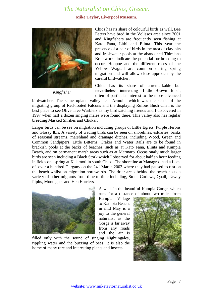#### **Mike Taylor, Liverpool Museum.**



*Kingfisher*

Chios has its share of colourful birds as well, Bee Eaters have bred in the Volissos area since 2001 and Kingfishers are frequently seen fishing at Kato Fana, Lithi and Elinta. This year the presence of a pair of birds in the area of clay pits and freshwater pools at the abandoned Thimiana Brickworks indicate the potential for breeding to occur. Hoopoe and the different races of the Yellow Wagtail are common during spring migration and will allow close approach by the careful birdwatcher.

Chios has its share of unremarkable but nevertheless interesting 'Little Brown Jobs', often of particular interest to the more advanced

birdwatcher. The same upland valley near Armolia which was the scene of the migrating group of Red-footed Falcons and the displaying Rufous Bush Chat, is the best place to see Olive Tree Warblers as my birdwatching friends and I discovered in 1997 when half a dozen singing males were found there. This valley also has regular breeding Masked Shrikes and Chukar.

Larger birds can be see on migration including groups of Little Egrets, Purple Herons and Glossy Ibis. A variety of wading birds can be seen on shorelines, estuaries, banks of seasonal streams, marshland and drainage ditches, including Wood, Green and Common Sandpipers. Little Bitterns, Crakes and Water Rails are to be found in brackish pools at the backs of beaches, such as at Kato Fana, Elinta and Kampia Beach, and on permanent marsh areas such as at Marmaro. Occasionaly much larger birds are seen including a Black Stork which I observed for about half an hour feeding in fields one spring at Kalamoti in south Chios. The shoreline at Managros had a flock of over a hundred Gargany on the  $24<sup>th</sup>$  March 2003 where they had paused to rest on the beach whilst on migration northwards. The drier areas behind the beach hosts a variety of other migrants from time to time including, Stone Curlews, Quail, Tawny Pipits, Montagues and Hen Harriers.



runs for a distance of about two miles from Kampia Village

A walk in the beautiful Kampia Gorge, which

to Kampia Beach, in mid May is a joy to the general naturalist as the Gorge is far away from any roads and the air is

filled only with the sound of singing Nightingales, rippling water and the buzzing of bees. It is also the home of many rare and interesting plants and insects

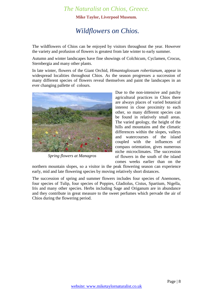**Mike Taylor, Liverpool Museum.**

# <span id="page-7-0"></span>*Wildflowers on Chios.*

The wildflowers of Chios can be enjoyed by visitors throughout the year. However the variety and profusion of flowers is greatest from late winter to early summer.

Autumn and winter landscapes have fine showings of Colchicum, Cyclamen, Crocus, Sternbergia and many other plants.

In late winter, flowers of the Giant Orchid, *Himantoglossum robertianum,* appear in widespread localities throughout Chios. As the season progresses a succession of many different species of flowers reveal themselves and paint the landscapes in an ever changing pallette of colours.



*Spring flowers at Managros*

Due to the non-intensive and patchy agricultural practices in Chios there are always places of varied botanical interest in close proximity to each other, so many different species can be found in relatively small areas. The varied geology, the height of the hills and mountains and the climatic differences within the slopes, valleys and watercourses of the island coupled with the influences of compass orientation, gives numerous niche microclimates. The succession of flowers in the south of the island comes weeks earlier than on the

northern mountain slopes, so a visitor in the peak flowering season can experience early, mid and late flowering species by moving relatively short distances.

The succession of spring and summer flowers includes four species of Anemones, four species of Tulip, four species of Poppies, Gladiolus, Cistus, Spartium, Nigella, Iris and many other species. Herbs including Sage and Origanum are in abundance and they contribute in great measure to the sweet perfumes which pervade the air of Chios during the flowering period.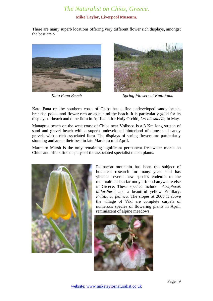#### **Mike Taylor, Liverpool Museum.**

There are many superb locations offering very different flower rich displays, amongst the best are :-





*Kato Fana Beach Spring Flowers at Kato Fana*

Kato Fana on the southern coast of Chios has a fine undeveloped sandy beach, brackish pools, and flower rich areas behind the beach. It is particularly good for its displays of beach and dune flora in April and for Holy Orchid, *Orchis sancta,* in May.

Managros beach on the west coast of Chios near Volissos is a 3 Km long stretch of sand and gravel beach with a superb undeveloped hinterland of dunes and sandy gravels with a rich associated flora. The displays of spring flowers are particularly stunning and are at their best in late March to mid April.

Marmaro Marsh is the only remaining significant permanent freshwater marsh on Chios and offers fine displays of the associated specialist marsh plants.



Pelinaeon mountain has been the subject of botanical research for many years and has yielded several new species endemic to the mountain and so far not yet found anywhere else in Greece. These species include *Atraphaxis billardierei* and a beautiful yellow Fritillary, *Fritillaria pelinea.* The slopes at 2000 ft above the village of Viki are complete carpets of numerous species of flowering plants in April, reminiscent of alpine meadows.

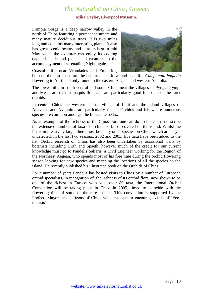#### **Mike Taylor, Liverpool Museum.**

Kampia Gorge is a deep narrow valley in the north of Chios featuring a permanent stream and many mature deciduous trees. It is two miles long and contains many interesting plants. It also has great scenic beauty and is at its best in mid May when the explorer can enjoy its cooling dappled shade and plants and creatures to the accompanyment of serenading Nightingales.



Coastal cliffs near Vrondados and Emporios,

both on the east coast, are the habitat of the local and beautiful *Campanula hagielia*  flowering in April and only found in the eastern Aegean and western Anatolia.

The lower hills in south central and south Chios near the villages of Pyrgi, Olympi and Mesta are rich in maquis flora and are particularly good for some of the rarer orchids.

In central Chios the western coastal village of Lithi and the inland villages of Anavatos and Avgonima are particularly rich in Orchids and Iris where numerous species are common amongst the limestone rocks.

As an example of the richness of the Chios flora one can do no better than describe the extensive numbers of taxa of orchids so far discovered on the island. Whilst the list is impressively large, there must be many other species on Chios which are as yet undetected. In the last two seasons, 2002 and 2003, five taxa have been added to the list. Orchid research on Chios has also been undertaken by occasional visits by botanists including Hirth and Spaeth, however much of the credit for our current knowledge must go to Pandelis Saliaris, a Civil Engineer working for the Region of the Northeast Aegean, who spends most of his free time during the orchid flowering season looking for new species and mapping the locations of all the species on the island. He recently published his illustrated book on the Orchids of Chios.

For a number of years Pandelis has hosted visits to Chios by a number of European orchid specialists. In recognition of the richness of its orchid flora, now shown to be one of the richest in Europe with well over 80 taxa, the International Orchid Convention will be taking place in Chios in 2005, timed to coincide with the flowering time of some of the rare species. This convention is supported by the Prefect, Mayors and citizens of Chios who are keen to encourage visits of 'Ecotourists'.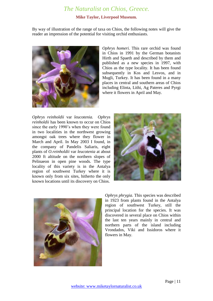#### **Mike Taylor, Liverpool Museum.**

By way of illustration of the range of taxa on Chios, the following notes will give the reader an impression of the potential for visiting orchid enthusiasts.



*Ophrys homeri.* This rare orchid was found in Chios in 1991 by the German botanists Hirth and Spaeth and described by them and published as a new species in 1997, with Chios as the type locality. It has been found subsequently in Kos and Lesvos, and in Mugli, Turkey. It has been found in a many places in central and southern areas of Chios including Elinta, Lithi, Ag Pateres and Pyrgi where it flowers in April and May.

*Ophrys reinholdii* var *leucotenia. Ophrys reinholdii* has been known to occur on Chios since the early 1990's when they were found in two localities in the northwest growing amongst oak trees where they flower in March and April. In May 2003 I found, in the company of Pandelis Saliaris, eight plants of *O.reinholdii* var *leucotenia* at about 2000 ft altitude on the northern slopes of Pelinaeon in open pine woods. The type locality of this variety is in the Antalya region of southwest Turkey where it is known only from six sites, hitherto the only known locations until its discovery on Chios.





*Ophrys phrygia.* This species was described in 1923 from plants found in the Antalya region of southwest Turkey, still the principal location for the species. It was discovered in several place on Chios within the last ten years mainly in central and northern parts of the island including Vrondados, Viki and Issidoros where it flowers in May.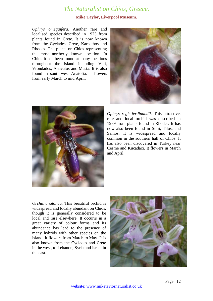#### **Mike Taylor, Liverpool Museum.**

*Ophrys omegaifera.* Another rare and localised species described in 1923 from plants found in Crete. It is now known from the Cyclades, Crete, Karpathos and Rhodes. The plants on Chios representing the most northerly known location. In Chios it has been found at many locations throughout the island including Viki, Vrondados, Anavatos and Mesta. It is also found in south-west Anatolia. It flowers from early March to mid April.





*Ophrys regis-ferdinandii.* This attractive, rare and local orchid was described in 1939 from plants found in Rhodes. It has now also been found in Simi, Tilos, and Samos. It is widespread and locally common in the southern half of Chios. It has also been discovered in Turkey near Cesme and Kucadaci. It flowers in March and April.

*Orchis anatolica.* This beautiful orchid is widespread and locally abundant on Chios, though it is generally considered to be local and rare elsewhere. It occurrs in a great variety of colour forms and its abundance has lead to the presence of many hybrids with other species on the island. It flowers from March to May. It is also known from the Cyclades and Crete in the west, to Lebanon, Syria and Israel in the east.

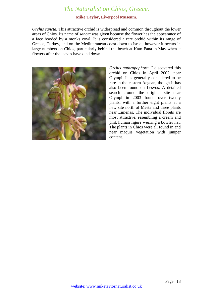#### **Mike Taylor, Liverpool Museum.**

*Orchis sancta.* This attractive orchid is widespread and common throughout the lower areas of Chios. Its name of *sancta* was given because the flower has the appearance of a face hooded by a monks cowl. It is considered a rare orchid within its range of Greece, Turkey, and on the Meditteranean coast down to Israel, however it occurs in large numbers on Chios, particularly behind the beach at Kato Fana in May when it flowers after the leaves have died down.



*Orchis anthropophora.* I discovered this orchid on Chios in April 2002, near Olympi. It is generally considered to be rare in the eastern Aegean, though it has also been found on Lesvos. A detailed search around the original site near Olympi in 2003 found over twenty plants, with a further eight plants at a new site north of Mesta and three plants near Limenas. The individual florets are most attractive, resembling a cream and pink human figure wearing a bowler hat. The plants in Chios were all found in and near maquis vegetation with juniper content.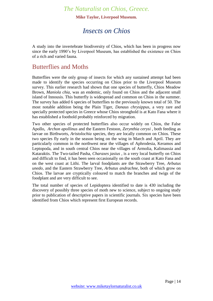**Mike Taylor, Liverpool Museum.**

# *Insects on Chios*

<span id="page-13-0"></span>A study into the invertebrate biodiversity of Chios, which has been in progress now since the early 1990's by Liverpool Museum, has established the existence on Chios of a rich and varied fauna.

### <span id="page-13-1"></span>Butterflies and Moths

Butterflies were the only group of insects for which any sustained attempt had been made to identify the species occurring on Chios prior to the Liverpool Museum survey. This earlier research had shown that one species of butterfly, Chios Meadow Brown, *Maniola chia,* was an endemic, only found on Chios and the adjacent small island of Innousis. This butterfly is widespread and common on Chios in the summer. The survey has added 6 species of butterflies to the previously known total of 50. The most notable addition being the Plain Tiger, *Danaus chrysippus*, a very rare and specially protected species in Greece whose Chios stronghold is at Kato Fana where it has established a foothold probably reinforced by migration.

Two other species of protected butterflies also occur widely on Chios, the False Apollo, *Archon apollinus* and the Eastern Festoon, *Zerynthia cerysi* , both feeding as larvae on Birthworts, *Aristolochia* species, they are locally common on Chios. These two species fly early in the season being on the wing in March and April. They are particularly common in the northwest near the villages of Aphrodesia, Keramos and Leptopoda, and in south central Chios near the villages of Armolia, Kalimassia and Kataraktis. The Two-tailed Pasha, *Charaxes jasius* , is a very local butterfly on Chios and difficult to find, it has been seen occasionally on the south coast at Kato Fana and on the west coast at Lithi. The larval foodplants are the Strawberry Tree, *Arbutus unedo,* and the Eastern Strawberry Tree, *Arbutus andrachne,* both of which grow on Chios. The larvae are cryptically coloured to match the branches and twigs of the foodplant and are very difficult to see.

The total number of species of Lepidoptera identified to date is 430 including the discovery of possibly three species of moth new to science, subject to ongoing study prior to publication of descriptive papers in scientific journals. Six species have been identified from Chios which represent first European records.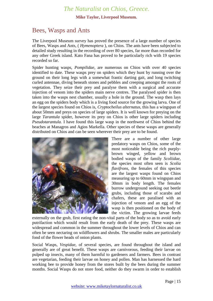#### **Mike Taylor, Liverpool Museum.**

### <span id="page-14-0"></span>Bees, Wasps and Ants

The Liverpool Museum survey has proved the presence of a large number of species of Bees, Wasps and Ants, ( *Hymenoptera* ), on Chios. The ants have been subjected to detailed study resulting in the recording of over 80 species, far more than recorded for any other Greek island. Kato Fana has proved to be particularly rich with 19 species recorded so far.

Spider hunting wasps, *Pompilidae,* are numerous on Chios with over 40 species identified to date. These wasps prey on spiders which they hunt by running over the ground on their long legs with a somewhat frantic darting gait, and long twitching curled antennae, diving beneath stones and pebbles and creeping amongst the roots of vegetation. They seize their prey and paralyse them with a surgical and accurate injection of venom into the spiders main nerve centres. The paralysed spider is then taken into the wasps nest chamber, usually a hole in the ground. The wasp then lays an egg on the spiders body which is a living food source for the growing larva. One of the largest species found on Chios is, *Cryptocheilus alternatus,* this has a wingspan of about 50mm and preys on species of large spiders. It is well known for preying on the large *Tarantula* spider, however its prey on Chios is other large spiders including *Pseudotarantula.* I have found this large wasp in the northwest of Chios behind the beaches at Managros and Agios Markella. Other species of these wasps are generally distributed on Chios and can be seen wherever their prey are to be found.



There are a number of other large predatory wasps on Chios, some of the most noticeable being the rich purplybrown winged, yellow and brown bodied wasps of the family *Scoliidae,*  the species most often seen is *Scolia flavifrons,* the females of this species are the largest wasps found on Chios measuring up to 60mm in wingspan and 30mm in body length. The females burrow underground seeking out beetle grubs, including those of scarabs and chafers, these are paralised with an injection of venom and an egg of the wasp is then positioned on the body of the victim. The growing larvae feeds

externally on the grub, first eating the non-vital parts of the body so as to avoid early putrifaction which would result from the early death of the prey. These wasps are widespread and common in the summer throughout the lower levels of Chios and can often be seen nectaring on wildflowers and shrubs. The smaller males are particularly fond of the flower heads of onion plants.

Social Wasps, *Vespidae,* of several species, are found throughout the island and generally are of great benefit. These wasps are carnivorous, feeding their larvae on pulped up insects, many of them harmful to gardeners and farmers. Bees in contrast are vegetarian, feeding their larvae on honey and pollen. Man has harnessed the hard working bee to provide honey from the stores built by the bees during the summer months. Social Wasps do not store food, neither do they swarm in order to establish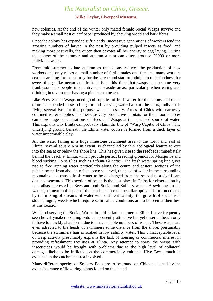#### **Mike Taylor, Liverpool Museum.**

new colonies. At the end of the winter only mated female Social Wasps survive and they make a small nest out of paper produced by chewing wood and bark fibres.

Once the colony has expanded sufficiently, successive generations of workers tend the growing numbers of larvae in the nest by providing pulped insects as food, and making more nest cells, the queen then devotes all her energy to egg laying. During the course of the summer and autumn a nest can often produce 20000 or more individual wasps.

From mid summer to late autumn as the colony reduces the production of new workers and only raises a small number of fertile males and females, many workers cease searching for insect prey for the larvae and start to indulge in their fondness for sweet things like nectar and fruit. It is at this time that wasps can become very troublesome to people in country and seaside areas, particularly when eating and drinking in tavernas or having a picnic on a beach.

Like Bees, Social Wasps need good supplies of fresh water for the colony and much effort is expended in searching for and carrying water back to the nests, individuals flying several Km for this purpose when necessary. Areas of Chios with narrowly confined water supplies in otherwise very productive habitats for their food sources can show huge concentrations of Bees and Wasps at the localised source of water. This explains why Elinta can probably claim the title of 'Wasp Capital of Chios'. The underlying ground beneath the Elinta water course is formed from a thick layer of water impermiable clay.

All the water falling in a huge limestone catchment area to the north and east of Elinta, several square Km in extent, is channelled by this geological feature to exit into the sea at or below the shore line. This has given rise to the reedbeds immediately behind the beach at Elinta, which provide perfect breeding grounds for Mosquitos and blood sucking Horse Flies such as *Tabanus lunatus .* The fresh water spring line gives rise to free running water particularly along the centre and eastern sections of the pebble beach from about six feet above sea level, the head of water in the surrounding mountains also causes fresh water to be discharged from the seabed to a significant distance seawards. This section of beach is the best place in Chios for observation by naturalists interested in Bees and both Social and Solitary wasps. A swimmer in the waters just near to this part of the beach can see the peculiar optical distortion created by the mixing of streams of water with different salinity, the growth of specialised stone clinging weeds which require semi-saline conditions are to be seen at their best at this location.

Whilst observing the Social Wasps in mid to late summer at Elinta I have frequently seen holydaymakers coming onto an apparently attractive but yet deserted beach only to have to quickly abandon it due to unacceptable numbers of wasps. These wasps are even attracted to the heads of swimmers some distance from the shore, presumably because the swimmers hair is soaked in low salinity water. This unnacceptable level of wasp activity presumably explains the lack of housing or commercial interest in providing refreshment facilities at Elinta. Any attempt to spray the wasps with insecticides would be frought with problems due to the high level of collateral damage likely to be inflicted on the commercially valuable Hive Bees, much in evidence in the catchment area involved.

Many different species of Solitary Bees are to be found on Chios sustained by the extensive range of flowering plants found on the island.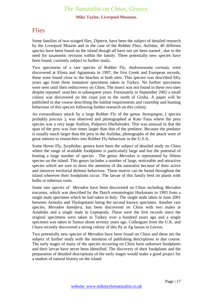#### **Mike Taylor, Liverpool Museum.**

### <span id="page-16-0"></span>**Flies**

Some families of two-winged flies, *Diptera,* have been the subject of detailed research by the Liverpool Musem and in the case of the Robber Flies, *Asilidae,* 40 different species have been found on the island though all have not yet been named , due to the need for taxanomic revision within the family. Three potentially new species have been found, currently subject to further study.

Two specimens of a rare species of Robber Fly, *Andrenosoma cornuta,* were discovered at Elinta and Agiasmata in 1997, the first Greek and European records, these were found close to the beaches at both sites. This species was described fifty years ago from three immature specimens taken in Turkey. No further specimens were seen until their rediscovery on Chios. The insect was not found in these two sites despite repeated searches in subsequent years. Fortunately in September 2002 a small colony was discovered on the coast just to the north of Gridia. A paper will be published in due course describing the habitat requirements and courtship and hunting behaviour of this species following further research on this colony.

An extraordinary attack by a large Robber Fly of the genus *Stenopogon,* ( species probably *junceus* ), was observed and photographed at Kato Fana where the prey species was a very large Antlion, *Palpares libelluloides.* This was unusual in that the span of the prey was four times larger than that of the predator. Because the predator is usually much larger than the prey in the Asilidae, photographs of the attack were of great interest to researchers into Robber Fly behaviour in the U.S.A.

Some Hover Fly, *Syrphidae,* genera have been the subject of detailed study on Chios where the range of available foodplants is particularly large and has the potential of hosting a large number of species . The genus *Merodon* is represented by fifteen species on the island. This genus includes a number of large, noticeable and attractive species which are sure to draw the attention of the naturalist because of their active and intrusive territorial defense behaviour. These insects can be found throughout the island wherever their foodplants occur. The larvae of this family feed on plants with bulbs or tuberous roots.

Some rare species of *Merodon* have been discovered on Chios including *Merodon toscanus,* which was described by the Dutch entomologist Hurkmans in 1993 from a single male specimen which he had taken in Italy. The single male taken in June 2001 between Armolia and Tholopotami being the second known specimen. Another rare species, *Merodon hamifera,* has been discovered on Chios with two males at Amahdes and a single male in Leptopoda. These were the first records since the original specimens were taken in Turkey over a hundred years ago and a single specimen was taken in Samos about seventy years ago. Colleagues from the U.K. and I have recently discovered a strong colony of this fly at Ag Iassos in Lesvos.

Two potentially new species of *Merodon* have been found on Chios and these are the subject of further study with the intention of publishing descriptions in due course. The early stages of many of the species occurring on Chios have unknown foodplants and their larvae have never been identified. The discovery of their foodplants and the preparation of detailed descriptions of the early stages would make a good project for a student of natural history on the island.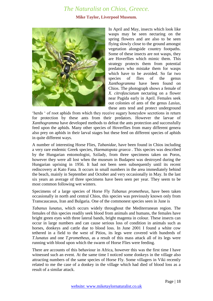#### **Mike Taylor, Liverpool Museum.**



In April and May, insects which look like wasps may be seen nectaring on the spring flowers and are also to be seen flying slowly close to the ground amongst vegetation alongside country footpaths. Some of these insects are not wasps, they are Hoverflies which mimic them. This strategy protects them from potential predators who mistake them for wasps which have to be avoided. So far two species of flies of the genus *Xanthogramma* have been found on Chios. The photograph shows a female of *X. citrofasciatum* nectaring on a flower near Pagida early in April. Females seek out colonies of ants of the genus *Lasius,*  these ants tend and protect underground

'herds ' of root aphids from which they receive sugary honeydew secretions in return for protection by these ants from their predators. However the larvae of *Xanthogramma* have developed methods to defeat the ants protection and successfully feed upon the aphids. Many other species of Hoverflies from many different genera also prey on aphids in their larval stages but these feed on different species of aphids in quite different ways.

A number of interesting Horse Flies, *Tabanidae,* have been found in Chios including a very rare endemic Greek species, *Haematopota graeca .* This species was described by the Hungarian entomologist, Szilady, from three specimens taken on Poros, however they were all lost when the museum in Budapest was destroyed during the Hungarian uprising in 1956. It had not been seen subsequently until its recent rediscovery at Kato Fana. It occurs in small numbers in the area immediately behind the beach, mainly in September and October and very occasionally in May. In the last six years an average of three specimens have been seen per year. They seem to be most common following wet winters.

Specimens of a large species of Horse Fly *Tabanus prometheus,* have been taken occasionally in north and central Chios, this species was previously known only from Transcaucasus, Iran and Bulgaria. One of the commonest species seen in June is

*Tabanus lunatus,* which occurs widely throughout the Mediterranean region. The females of this species readily seek blood from animals and humans, the females have bright green eyes with three lateral bands, bright magenta in colour. These insects can occur in large numbers and can cause serious loss of condition in animals such as horses, donkeys and cattle due to blood loss. In June 2001 I found a white cow tethered in a field to the west of Pitios, its legs were covered with hundreds of *T.lunatus* and one *T.prometheus,* as a result of this mass attack all of its legs were running with blood upon which the swarm of Horse Flies were feeding.

There are accounts of this behaviour in Africa, however this was the first time I have witnessed such an event. At the same time I noticed some donkeys in the village also attracting numbers of the same species of Horse Fly. Some villagers in Viki recently related to me the case of a donkey in the village which had died of blood loss as a result of a similar attack.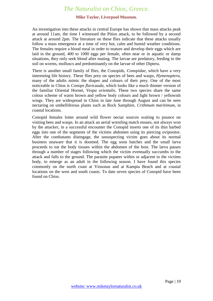#### **Mike Taylor, Liverpool Museum.**

An investigation into these attacks in central Europe has shown that mass attacks peak at around 11am, the time I witnessed the Pitios attack, to be followed by a second attack at around 2pm. The literature on these flies indicate that these attacks usually follow a mass emergence at a time of very hot, calm and humid weather conditions. The females require a blood meal in order to mature and develop their eggs which are laid in the ground, 400 to 1000 eggs per female, often near or in aquatic or damp situations, they only seek blood after mating. The larvae are predatory, feeding in the soil on worms, molluscs and predominantly on the larvae of other Diptera.

There is another small family of flies, the Conopids, *Conopidae,* which have a very interesting life history. These flies prey on species of bees and wasps, *Hymenoptera,* many of the adults mimic the shapes and colours of their prey. One of the most noticeable in Chios is *Conops flavicauda,* which looks like a much thinner version of the familiar Oriental Hornet, *Vespa orientalis.* These two species share the same colour scheme of warm brown and yellow body colours and light brown / yellowish wings. They are widespread in Chios in late June through August and can be seen nectaring on umbelliferous plants such as Rock Samphire, *Crithmum maritimum,* in coastal locations.

Conopid females loiter around wild flower nectar sources waiting to pounce on visiting bees and wasps. In an attack an aerial wrestling match ensues, not always won by the attacker, in a successful encounter the Conopid inserts one of its thin barbed eggs into one of the segments of the victims abdomen using its piercing ovipositor. After the combatants disengage, the unsuspecting victim goes about its normal business unaware that it is doomed. The egg soon hatches and the small larva proceeds to eat the body tissues within the abdomen of the host. The larva passes through a number of stages following which the victim eventually succumbs to the attack and falls to the ground. The parasite pupates within or adjacent to the victims body, to emerge as an adult in the following season. I have found this species commonly on the north coast at Yiosonas and at Kampia Beach and at coastal locations on the west and south coasts. To date seven species of Conopid have been found on Chios.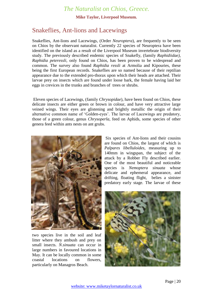**Mike Taylor, Liverpool Museum.**

### <span id="page-19-0"></span>Snakeflies, Ant-lions and Lacewings

Snakeflies, Ant-lions and Lacewings, (Order *Neuroptera*), are frequently to be seen on Chios by the observant naturalist. Currently 22 species of Neuroptera have been identified on the island as a result of the Liverpool Museum invertebrate biodiversity study. The previously described endemic species of Snakefly, (family *Raphidiidae)*, *Raphidia peteressli,* only found on Chios, has been proven to be widespread and common. The survey also found *Raphidia ressli* at Armolia and Kipouries, these being the first European records. Snakeflies are so named because of their reptilian appearance due to the extended pro-thorax upon which their heads are attached. Their larvae prey on insects which are found under loose bark, the female having laid her eggs in crevices in the trunks and branches of trees or shrubs.

Eleven species of Lacewings, (family *Chrysopidae*), have been found on Chios, these delicate insects are either green or brown in colour, and have very attractive large veined wings. Their eyes are glistening and brightly metallic the origin of their alternative common name of 'Golden-eyes'. The larvae of Lacewings are predatory, those of a green colour, genus *Chrysoperla,* feed on Aphids, some species of other genera feed within ants nests on ant grubs.



two species live in the soil and leaf litter where they ambush and prey on small insects. *N.sinuata* can occur in large numbers in favoured locations in May. It can be locally common in some coastal locations on flowers, particularly on Managros Beach.

*Palpares libelluloides,* measuring up to 140mm in wingspan, the subject of the attack by a Robber Fly described earlier. One of the most beautiful and noticeable species is *Nemoptera sinuata* whose delicate and ephemeral appearance, and drifting, floating flight, belies a sinister predatory early stage. The larvae of these

Six species of Ant-lions and their cousins

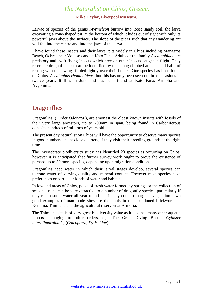#### **Mike Taylor, Liverpool Museum.**

Larvae of species of the genus *Myrmeleon* burrow into loose sandy soil, the larva excavating a cone-shaped pit, at the bottom of which it hides out of sight with only its powerful jaws above the surface. The slope of the pit is such that any wandering ant will fall into the centre and into the jaws of the larva.

I have found these insects and their larval pits widely in Chios including Managros Beach, Ochrea near Volissos and at Kato Fana. Adults of the family *Ascalaphidae* are predatory and swift flying insects which prey on other insects caught in flight. They resemble dragonflies but can be identified by their long clubbed antenae and habit of resting with their wings folded tightly over their bodies. One species has been found on Chios, *Ascalaphus rhomboideus,* but this has only been seen on three occasions in twelve years. It flies in June and has been found at Kato Fana, Armolia and Avgonima.

### <span id="page-20-0"></span>**Dragonflies**

Dragonflies, ( Order *Odonata* ), are amongst the oldest known insects with fossils of their very large ancestors, up to 700mm in span, being found in Carboniferous deposits hundreds of millions of years old.

The present day naturalist on Chios will have the opportunity to observe many species in good numbers and at close quarters, if they visit their breeding grounds at the right time.

The invertebrate biodiversity study has identified 20 species as occurring on Chios, however it is anticipated that further survey work ought to prove the existence of perhaps up to 30 more species, depending upon migration conditions.

Dragonflies need water in which their larval stages develop, several species can tolerate water of varying quality and mineral content. However most species have preferences or particular kinds of water and habitats.

In lowland areas of Chios, pools of fresh water formed by springs or the collection of seasonal rains can be very attractive to a number of dragonfly species, particularly if they retain some water all year round and if they contain marginal vegetation. Two good examples of man-made sites are the pools in the abandoned brickworks at Keramia, Thimiana and the agricultural reservoir at Armolia.

The Thimiana site is of very great biodiversity value as it also has many other aquatic insects belonging to other orders, e.g. The Great Diving Beetle, *Cybister lateralimarginalis,* (*Coleoptera, Dytiscidae*).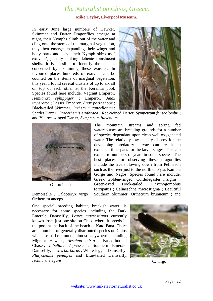#### **Mike Taylor, Liverpool Museum.**

In early June large numbers of Hawker, Skimmer and Darter Dragonflies emerge at night, their Nymphs climb out of the water and cling onto the stems of the marginal vegetation, they then emerge, expanding their wings and body parts and leave their Nymph skins as ' exuviae', ghostly looking delicate translucent shells. It is possible to identify the species concerned by examining these exuviae. In favoured places hundreds of exuviae can be counted on the stems of marginal vegetation, this year I found several clusters of up to six all on top of each other at the Keramia pool. Species found here include, Vagrant Emperor, *Hemianax ephippiger* ; Emperor, *Anax imperator* ; Lesser Emperor, *Anax parthenope* ; Black-tailed Skimmer, *Orthetrum cancellatum* ;



Scarlet Darter, *Crocothemis erythraea* ; Red-veined Darter, *Sympetrum fonscolombii* ; and Yellow-winged Darter, *Sympetrum flaveolum.*



O. forcipatus

The mountain streams and spring fed watercourses are breeding grounds for a number of species dependant upon clean well oxygenated water. The relatively low density of prey for the developing predatory larvae can result in extended timespans for the larval stages. This can extend to numbers of years in some species. The best places for observing these dragonflies include the rivers flowing down from Pelinaeon such as the river just to the north of Fyta, Kampia Gorge and Nagos. Species found here include, Greek Golden-ringed, Cordulegaster insignis ; Green-eyed Hook-tailed, Onychogomphus forcipatus ; Caliaeschna microstigma ; Beautiful

Demoiselle , Calopteryx virgo ; Southern Skimmer, Orthetrum brunneum ; and Orthetrum anceps.

One special breeding habitat, brackish water, is necessary for some species including the Dark Emerald Damselfly, *Lestes macrostigma* currently known from just one site on Chios where it breeds in the pool at the back of the beach at Kato Fana. There are a number of generally distributed species on Chios which can be found almost anywhere including Migrant Hawker, *Aeschna mixta* ; Broad-bodied Chaser, *Libellula depressa* ; Southern Emerald Damselfly, *Lestes barbarus* ; White-legged Damselfly, *Platycnemis pennipes* and Blue-tailed Damselfly, *Ischnura elegans.*



C. virgo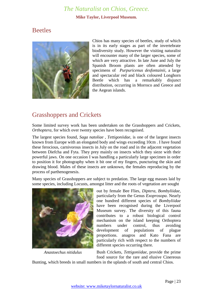#### **Mike Taylor, Liverpool Museum.**

### <span id="page-22-0"></span>**Beetles**



Chios has many species of beetles, study of which is in its early stages as part of the invertebrate biodiversity study. However the visiting naturalist will encounter many of the larger species, some of which are very attractive. In late June and July the Spanish Broom plants are often attended by specimens of *Purpuricenus desfontainii*, a large and spectacular red and black coloured Longhorn Beetle which has a remarkably disjunct distribution, occurring in Morroco and Greece and the Aegean islands.

# <span id="page-22-1"></span>Grasshoppers and Crickets

Some limited survey work has been undertaken on the Grasshoppers and Crickets, *Orthoptera,* for which over twenty species have been recognised.

The largest species found, *Saga natoliae , Tettigoniidae,* is one of the largest insects known from Europe with an elongated body and wings exceeding 10cm . I have found these ferocious, carnivorous insects in July on the road and in the adjacent vegetation between Diefcha and Fyta. They prey mainly on insects which they sieze with their powerful jaws. On one occasion I was handling a particularly large specimen in order to position it for photography when it bit one of my fingers, puncturing the skin and drawing blood. Males of these insects are unknown, the females reproducing by the process of parthenogenesis.

Many species of Grasshoppers are subject to predation. The large egg masses laid by some species, including Locusts, amongst litter and the roots of vegetation are sought



*Anastoechus nitidulus*

out by female Bee Flies, *Diptera, Bombyliidae,*  particularly from the Genus *Exoprosopa*. Nearly one hundred different species of *Bombyliidae* have been recognised during the Liverpool Museum survey. The diversity of this fauna contributes to a robust biological control mechanism on the island keeping Orthoptera numbers under control, thus avoiding development of populations of plague proportions. anagros and Kato Fana are particularly rich with respect to the numbers of different species occurring there.

Bush Crickets, *Tettigoniidae,* provide the prime food source for the rare and elusive Cinereous

Bunting, which breeds in small numbers in the uplands of south and central Chios.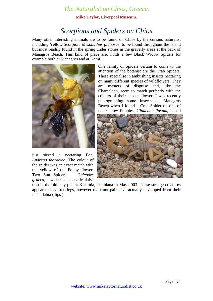**Mike Taylor, Liverpool Museum.**

# *Scorpions and Spiders on Chios*

<span id="page-23-0"></span>Many other interesting animals are to be found on Chios by the curious naturalist including Yellow Scorpion, *Mesobuthus gibbosus,* to be found throughout the island but most readily found in the spring under stones in the gravelly areas at the back of Managros Beach. This kind of place also holds a few Black Widow Spiders for example both at Managros and at Komi.



just siezed a nectaring Bee, *Andrena thoracica.* The colour of the spider was an exact match with the yellow of the Poppy flower. Two Sun Spiders, *Galeodes graeca,* were taken in a Malaise One family of Spiders certain to come to the attention of the botanist are the Crab Spiders. These specialise in ambushing insects nectaring on many different species of wildflowers. They are masters of disguise and, like the Chameleon, seem to match perfectly with the colours of their chosen flower. I was recently photographing some insects on Managros Beach when I found a Crab Spider on one of the Yellow Poppies, *Glaucium flavum,* it had



trap in the old clay pits at Keramia, Thimiana in May 2003. These strange creatures appear to have ten legs, however the front pair have actually developed from their facial labia ( lips ).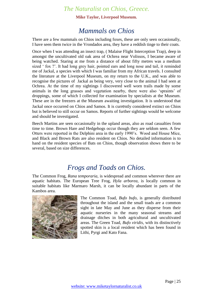**Mike Taylor, Liverpool Museum.**

# *Mammals on Chios*

<span id="page-24-0"></span>There are a few mammals on Chios including foxes, these are only seen occasionally, I have seen them twice in the Vrondados area, they have a reddish tinge to their coats.

Once when I was attending an insect trap, ( Malaise Flight Interception Trap), deep in amongst the uncultivated old oak area of Ochrea near Volissos, I became aware of being watched. Staring at me from a distance of about fifty metres was a medium sized ' fox ?'. It had long grey hair, pointed ears and long nose and tail, it reminded me of Jackal, a species with which I was familiar from my African travels. I consulted the literature at the Liverpool Museum, on my return to the U.K., and was able to recognise the pictures of Jackal as being very, very close to the animal I had seen at Ochrea. At the time of my sightings I discovered well worn trails made by some animals in the long grasses and vegetation nearby, there were also 'spraints' of droppings, some of which I collected for examination by specialists at the Museum. These are in the freezers at the Museum awaiting investigation. It is understood that Jackal once occurred on Chios and Samos. It is currently considered extinct on Chios but is believed to still occur on Samos. Reports of further sightings would be welcome and should be investigated.

Beech Martins are seen occasionally in the upland areas, also as road casualties from time to time. Brown Hare and Hedgehogs occur though they are seldom seen. A few Otters were reported in the Delphini area in the early 1990's. Wood and House Mice, and Black and Brown Rats are also resident on Chios. No detailed information is to hand on the resident species of Bats on Chios, though observation shows there to be several, based on size differences.

# *Frogs and Toads on Chios.*

<span id="page-24-1"></span>The Common Frog, *Rana temporaria,* is widespread and common wherever there are aquatic habitats. The European Tree Frog, *Hyla arborea,* is locally common in suitable habitats like Marmaro Marsh, it can be locally abundant in parts of the Kambos area.



The Common Toad, *Bufo bufo,* is generally distributed throughout the island and the small toads are a common sight in late May and June as they disperse from their aquatic nurseries in the many seasonal streams and drainage ditches in both agricultural and uncultivated areas. The Green Toad, *Bufo viridis,* with its distinctively spotted skin is a local resident which has been found in Lithi, Pyrgi and Kato Fana.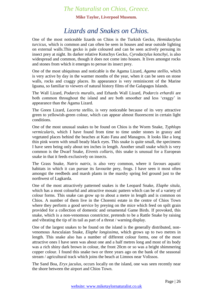**Mike Taylor, Liverpool Museum.**

# *Lizards and Snakes on Chios.*

<span id="page-25-0"></span>One of the most noticeable lizards on Chios is the Turkish Gecko, *Hemidactylus turcicus,* which is common and can often be seen in houses and near outside lighting on external walls.This gecko is pale coloured and can be seen actively persuing its insect prey at night. Its darker relative Kotschys Gecko, *Cyrodactylus kotschyi,* is also widespread and common, though it does not come into houses. It lives amongst rocks and stones from which it emerges to persue its insect prey.

One of the most ubiquitous and noticable is the Agama Lizard, *Agama stellio,* which is very active by day in the warmer months of the year, when it can be seen on stone walls, rocks and craggy places. Its appearance is very reminiscent of the Marine Iguana, so familiar to viewers of natural history films of the Galapagos Islands.

The Wall Lizard, *Podarcis muralis,* and Erhards Wall Lizard, *Podarcis erhardii* are both common throughout the island and are both smoother and less 'craggy' in appearance than the Agama Lizard.

The Green Lizard, *Lacerta stellio,* is very noticeable because of its very attractive green to yellowish-green colour, which can appear almost fluorescent in certain light conditions.

One of the most unusual snakes to be found on Chios is the Worm Snake, *Typhlops vermicularis,* which I have found from time to time under stones in grassy and vegetated places behind the beaches at Kato Fana and Managros. It looks like a long thin pink worm with small beady black eyes. This snake is quite small, the specimens I have seen being only about ten inches in length. Another small snake which is very common is the Dwarf Snake, *Eirenis collaris,* this snake is unusual for a European snake in that it feeds exclusively on insects.

The Grass Snake, *Natrix natrix,* is also very common, where it favours aquatic habitats in which it can pursue its favourite prey, frogs. I have seen it most often amongst the reedbeds and marsh plants in the marshy spring fed ground just to the northwest of Lagkarda.

One of the most attractively patterned snakes is the Leopard Snake, *Elaphe situla,* which has a most colourful and attractive mosaic pattern which can be of a variety of colour forms. This snake can grow up to about a metre in length and is common on Chios. A number of them live in the Choremi estate in the centre of Chios Town where they perform a good service by preying on the mice which feed on spilt grain provided for a collection of domestic and ornamental Game Birds. If provoked, this snake, which is a non-venomous constrictor, pretends to be a Rattle Snake by raising and vibrating the tip of its tail as part of a threat / warning display.

One of the largest snakes to be found on the island is the generally distributed, nonvenomous Aesculaian Snake, *Elaphe longissima,* which grows up to two metres in length. This snake also has a number of different colour forms, one of the most attractive ones I have seen was about one and a half metres long and most of its body was a rich shiny dark brown in colour, the front 20cm or so was a bright shimmering copper colour. I found this snake two or three years ago on the bank of the seasonal stream / agricultural track which joins the beach at Limnos near Volissos.

The Sand Boa, *Eryx jaculus,* occurs locally on the island, one was seen recently near the shore between the airport and Chios Town.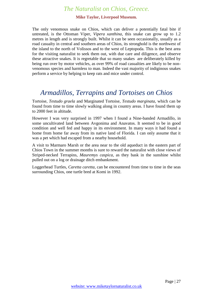#### **Mike Taylor, Liverpool Museum.**

The only venomous snake on Chios, which can deliver a potentially fatal bite if untreated, is the Ottoman Viper, *Vipera xanthina,* this snake can grow up to 1.2 metres in length and is strongly built. Whilst it can be seen occasionally, usually as a road casualty in central and southern areas of Chios, its stronghold is the northwest of the island to the north of Volissos and to the west of Leptopoda. This is the best area for the visiting naturalist to seek them out, with due care and diligence, and observe these attractive snakes. It is regretable that so many snakes are deliberately killed by being run over by motor vehicles, as over 99% of road casualties are likely to be nonvenomous species and harmless to man. Indeed the vast majority of indiginous snakes perform a service by helping to keep rats and mice under control.

# <span id="page-26-0"></span>*Armadillos, Terrapins and Tortoises on Chios*

Tortoise, *Testudo graela* and Marginated Tortoise, *Testudo marginata,* which can be found from time to time slowly walking along in country areas. I have found them up to 2000 feet in altitude.

However I was very surprised in 1997 when I found a Nine-banded Armadillo, in some uncultivated land between Avgonima and Anavatos. It seemed to be in good condition and well fed and happy in its environment. In many ways it had found a home from home far away from its native land of Florida. I can only assume that it was a pet which had escaped from a nearby household.

A visit to Marmaro Marsh or the area near to the old aqueduct in the eastern part of Chios Town in the summer months is sure to reward the naturalist with close views of Striped-necked Terrapins, *Mauremys caspica,* as they bask in the sunshine whilst pulled out on a log or drainage ditch embankment.

Loggerhead Turtles, *Caretta caretta,* can be encountered from time to time in the seas surrounding Chios, one turtle bred at Komi in 1992.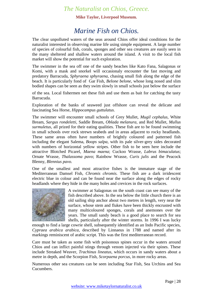**Mike Taylor, Liverpool Museum.**

# *Marine Fish on Chios.*

<span id="page-27-0"></span>The clear unpolluted waters of the seas around Chios offer ideal conditions for the naturalist interested in observing marine life using simple equipment. A large number of species of colourful fish, corals, sponges and other sea creatures are easily seen in the many sheltered and shallow waters around the island. A visit to the local fish market will show the potential for such exploration.

The swimmer in the sea off one of the sandy beaches like Kato Fana, Salagonas or Komi, with a mask and snorkel will occasionaly encounter the fast moving and predatory Barracuda, *Sphyraena sphyraena,* chasing small fish along the edge of the beach. It is particularly fond of Gar Fish, *Belone belone,* whose long nosed and slim bodied shapes can be seen as they swim slowly in small schools just below the surface

of the sea. Local fishermen net these fish and use them as bait for catching the tasty Barracuda.

Exploration of the banks of seaweed just offshore can reveal the delicate and fascinating Sea Horse, *Hippocampus guttulatus.*

The swimmer will encounter small schools of Grey Mullet, *Mugil cephalus,* White Bream, *Sargus rondeletti,* Saddle Bream, *Oblada melanura,* and Red Mullet, *Mullus surmuletus,* all prized for their eating qualities. These fish are to be found swimming in small schools over rock strewn seabeds and in areas adjacent to rocky headlands. These same areas often have numbers of brightly coloured and patterned fish including the elegant Salema, *Boops salpa,* with its pale silver-grey sides decorated with numbers of horizontal yellow stripes. Other fish to be seen here include the attractive Blotched Picarel, *Maena maena*; Cuckoo Wrasse, *Labrus bimaculatus*; Ornate Wrasse, *Thalassoma pavo*; Rainbow Wrasse, *Curis julis* and the Peacock Blenny, *Blennius pavo.*

One of the smallest and most attractive fishes is the immature stage of the Mediterranean Damsel Fish, *Chromis chromis.* These fish are a dark irridescent electric blue in colour and can be found near the surface along the edges of rocky headlands where they hide in the many holes and crevices in the rock surfaces.



A swimmer at Salagonas on the south coast can see many of the fish described above. In the sea below the little church there is an old sailing ship anchor about two metres in length, very near the surface, whose stem and flukes have been thickly encrusted with many multicoloured sponges, corals and anemones over the years. The small sandy beach is a good place to search for sea shells, particularly after the winter storms. In 1996 I was lucky

enough to find a large cowrie shell, subsequently identified as an Indo Pacific species, *Cypraea arabica arabica,* described by Linnaeus in 1788 and named after its markings reminiscent of arabic script. This was the first mediterranean record.

Care must be taken as some fish with poisonous spines occur in the waters around Chios and can inflict painful stings through venom injected via their spines. These include Streaked Weaver, *Trachinus lineatus,* which occurs in sandy waters about a metre in depth, and the Scorpion Fish, *Scorpaena porcus,* in more rocky areas.

Numerous other sea creatures can be seen including Star Fish, Sea Urchins and Sea Cucumbers.